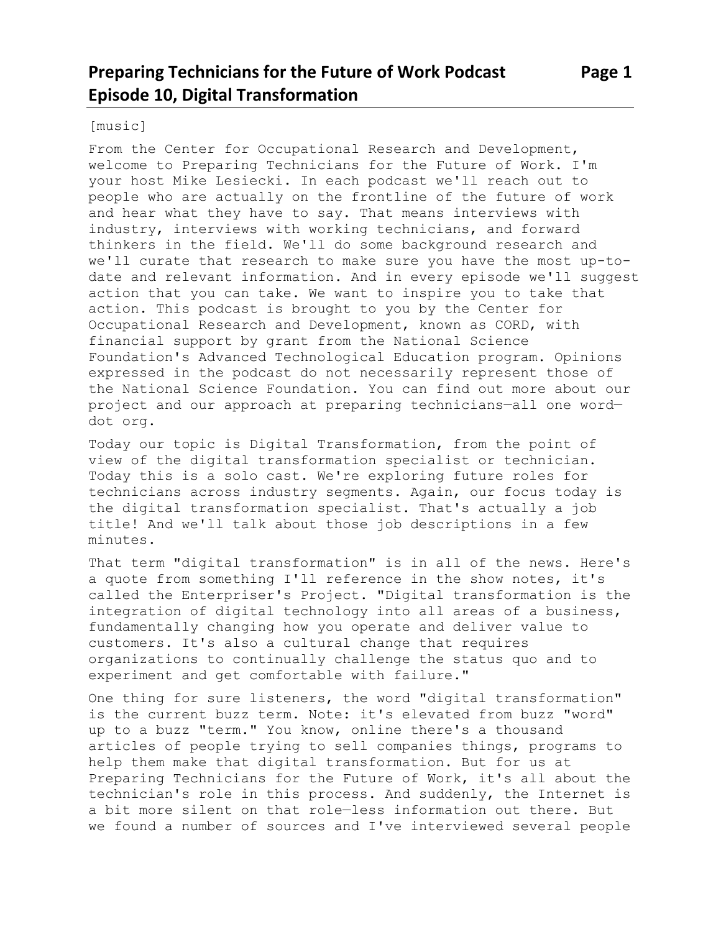#### [music]

From the Center for Occupational Research and Development, welcome to Preparing Technicians for the Future of Work. I'm your host Mike Lesiecki. In each podcast we'll reach out to people who are actually on the frontline of the future of work and hear what they have to say. That means interviews with industry, interviews with working technicians, and forward thinkers in the field. We'll do some background research and we'll curate that research to make sure you have the most up-todate and relevant information. And in every episode we'll suggest action that you can take. We want to inspire you to take that action. This podcast is brought to you by the Center for Occupational Research and Development, known as CORD, with financial support by grant from the National Science Foundation's Advanced Technological Education program. Opinions expressed in the podcast do not necessarily represent those of the National Science Foundation. You can find out more about our project and our approach at preparing technicians—all one word dot org.

Today our topic is Digital Transformation, from the point of view of the digital transformation specialist or technician. Today this is a solo cast. We're exploring future roles for technicians across industry segments. Again, our focus today is the digital transformation specialist. That's actually a job title! And we'll talk about those job descriptions in a few minutes.

That term "digital transformation" is in all of the news. Here's a quote from something I'll reference in the show notes, it's called the Enterpriser's Project. "Digital transformation is the integration of digital technology into all areas of a business, fundamentally changing how you operate and deliver value to customers. It's also a cultural change that requires organizations to continually challenge the status quo and to experiment and get comfortable with failure."

One thing for sure listeners, the word "digital transformation" is the current buzz term. Note: it's elevated from buzz "word" up to a buzz "term." You know, online there's a thousand articles of people trying to sell companies things, programs to help them make that digital transformation. But for us at Preparing Technicians for the Future of Work, it's all about the technician's role in this process. And suddenly, the Internet is a bit more silent on that role—less information out there. But we found a number of sources and I've interviewed several people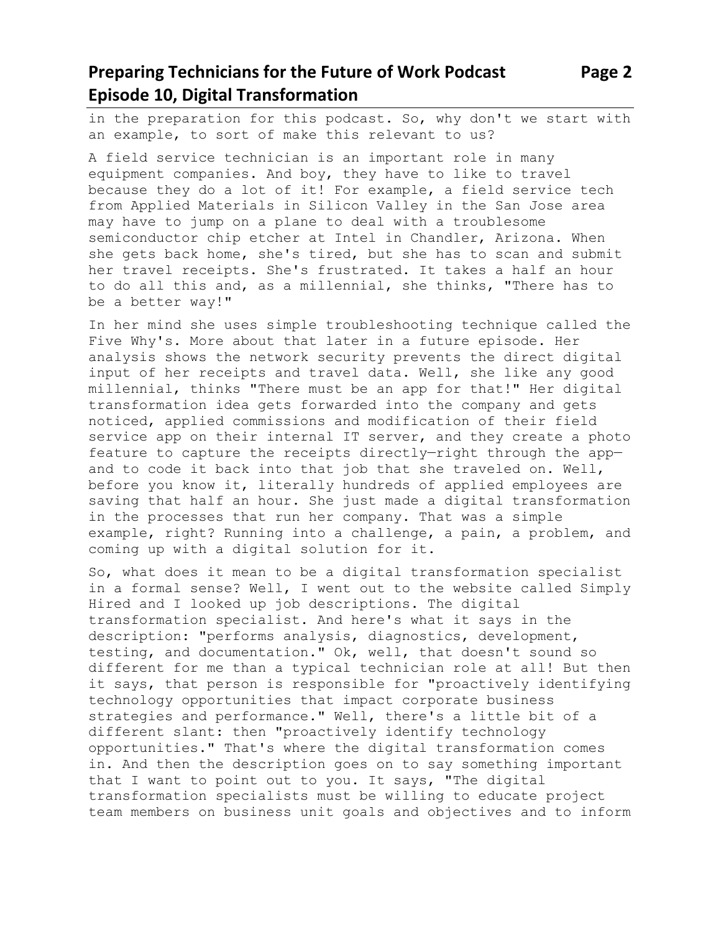in the preparation for this podcast. So, why don't we start with an example, to sort of make this relevant to us?

A field service technician is an important role in many equipment companies. And boy, they have to like to travel because they do a lot of it! For example, a field service tech from Applied Materials in Silicon Valley in the San Jose area may have to jump on a plane to deal with a troublesome semiconductor chip etcher at Intel in Chandler, Arizona. When she gets back home, she's tired, but she has to scan and submit her travel receipts. She's frustrated. It takes a half an hour to do all this and, as a millennial, she thinks, "There has to be a better way!"

In her mind she uses simple troubleshooting technique called the Five Why's. More about that later in a future episode. Her analysis shows the network security prevents the direct digital input of her receipts and travel data. Well, she like any good millennial, thinks "There must be an app for that!" Her digital transformation idea gets forwarded into the company and gets noticed, applied commissions and modification of their field service app on their internal IT server, and they create a photo feature to capture the receipts directly—right through the app and to code it back into that job that she traveled on. Well, before you know it, literally hundreds of applied employees are saving that half an hour. She just made a digital transformation in the processes that run her company. That was a simple example, right? Running into a challenge, a pain, a problem, and coming up with a digital solution for it.

So, what does it mean to be a digital transformation specialist in a formal sense? Well, I went out to the website called Simply Hired and I looked up job descriptions. The digital transformation specialist. And here's what it says in the description: "performs analysis, diagnostics, development, testing, and documentation." Ok, well, that doesn't sound so different for me than a typical technician role at all! But then it says, that person is responsible for "proactively identifying technology opportunities that impact corporate business strategies and performance." Well, there's a little bit of a different slant: then "proactively identify technology opportunities." That's where the digital transformation comes in. And then the description goes on to say something important that I want to point out to you. It says, "The digital transformation specialists must be willing to educate project team members on business unit goals and objectives and to inform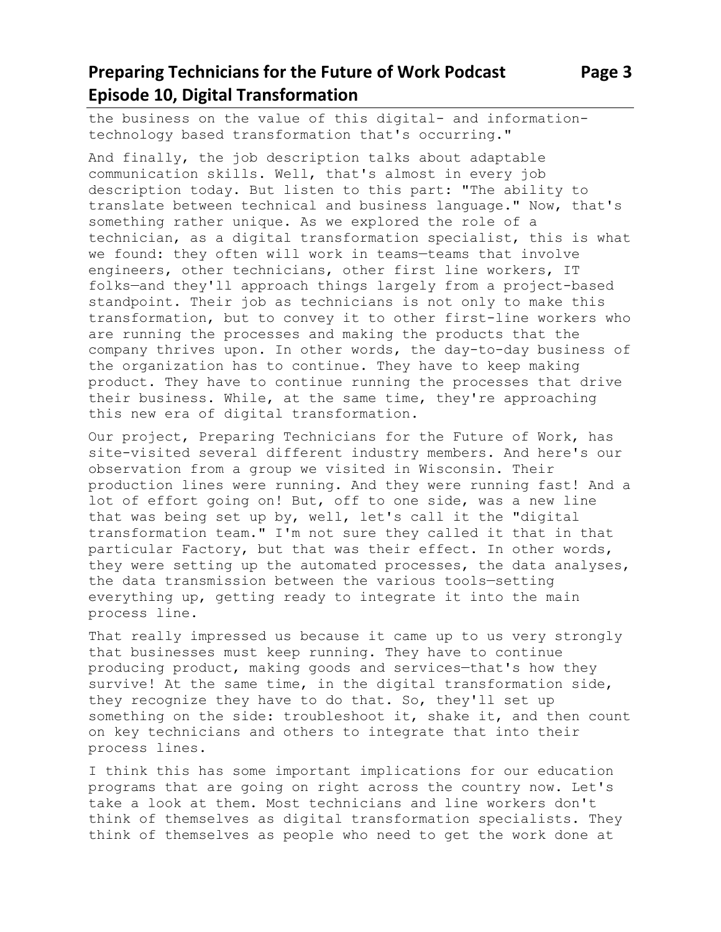the business on the value of this digital- and informationtechnology based transformation that's occurring."

And finally, the job description talks about adaptable communication skills. Well, that's almost in every job description today. But listen to this part: "The ability to translate between technical and business language." Now, that's something rather unique. As we explored the role of a technician, as a digital transformation specialist, this is what we found: they often will work in teams—teams that involve engineers, other technicians, other first line workers, IT folks—and they'll approach things largely from a project-based standpoint. Their job as technicians is not only to make this transformation, but to convey it to other first-line workers who are running the processes and making the products that the company thrives upon. In other words, the day-to-day business of the organization has to continue. They have to keep making product. They have to continue running the processes that drive their business. While, at the same time, they're approaching this new era of digital transformation.

Our project, Preparing Technicians for the Future of Work, has site-visited several different industry members. And here's our observation from a group we visited in Wisconsin. Their production lines were running. And they were running fast! And a lot of effort going on! But, off to one side, was a new line that was being set up by, well, let's call it the "digital transformation team." I'm not sure they called it that in that particular Factory, but that was their effect. In other words, they were setting up the automated processes, the data analyses, the data transmission between the various tools—setting everything up, getting ready to integrate it into the main process line.

That really impressed us because it came up to us very strongly that businesses must keep running. They have to continue producing product, making goods and services—that's how they survive! At the same time, in the digital transformation side, they recognize they have to do that. So, they'll set up something on the side: troubleshoot it, shake it, and then count on key technicians and others to integrate that into their process lines.

I think this has some important implications for our education programs that are going on right across the country now. Let's take a look at them. Most technicians and line workers don't think of themselves as digital transformation specialists. They think of themselves as people who need to get the work done at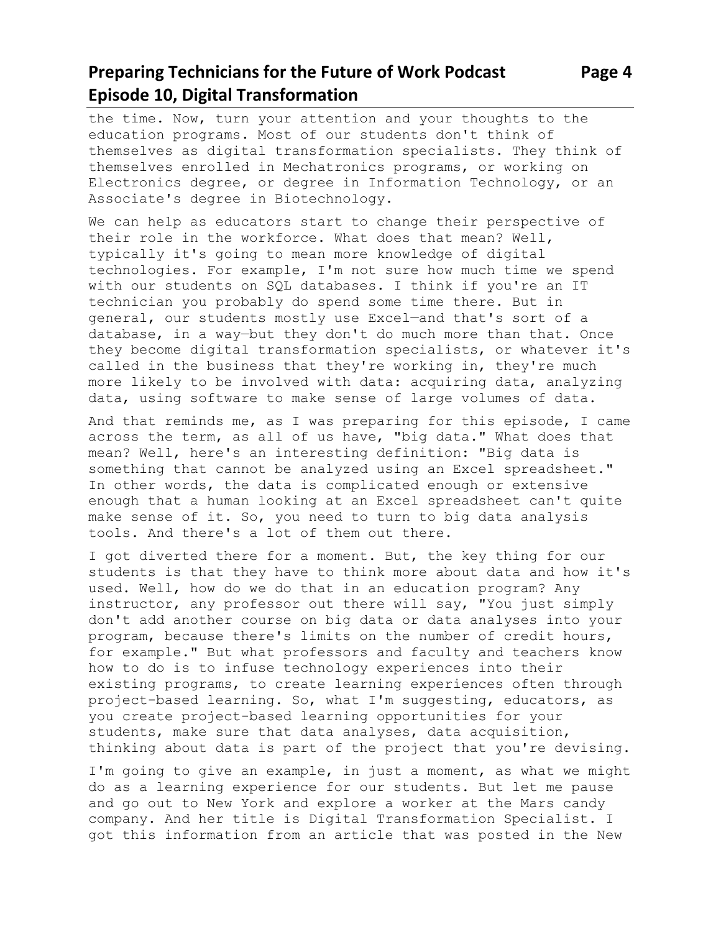# **Preparing Technicians for the Future of Work Podcast Page 4 Episode 10, Digital Transformation**

the time. Now, turn your attention and your thoughts to the education programs. Most of our students don't think of themselves as digital transformation specialists. They think of themselves enrolled in Mechatronics programs, or working on Electronics degree, or degree in Information Technology, or an Associate's degree in Biotechnology.

We can help as educators start to change their perspective of their role in the workforce. What does that mean? Well, typically it's going to mean more knowledge of digital technologies. For example, I'm not sure how much time we spend with our students on SQL databases. I think if you're an IT technician you probably do spend some time there. But in general, our students mostly use Excel—and that's sort of a database, in a way—but they don't do much more than that. Once they become digital transformation specialists, or whatever it's called in the business that they're working in, they're much more likely to be involved with data: acquiring data, analyzing data, using software to make sense of large volumes of data.

And that reminds me, as I was preparing for this episode, I came across the term, as all of us have, "big data." What does that mean? Well, here's an interesting definition: "Big data is something that cannot be analyzed using an Excel spreadsheet." In other words, the data is complicated enough or extensive enough that a human looking at an Excel spreadsheet can't quite make sense of it. So, you need to turn to big data analysis tools. And there's a lot of them out there.

I got diverted there for a moment. But, the key thing for our students is that they have to think more about data and how it's used. Well, how do we do that in an education program? Any instructor, any professor out there will say, "You just simply don't add another course on big data or data analyses into your program, because there's limits on the number of credit hours, for example." But what professors and faculty and teachers know how to do is to infuse technology experiences into their existing programs, to create learning experiences often through project-based learning. So, what I'm suggesting, educators, as you create project-based learning opportunities for your students, make sure that data analyses, data acquisition, thinking about data is part of the project that you're devising.

I'm going to give an example, in just a moment, as what we might do as a learning experience for our students. But let me pause and go out to New York and explore a worker at the Mars candy company. And her title is Digital Transformation Specialist. I got this information from an article that was posted in the New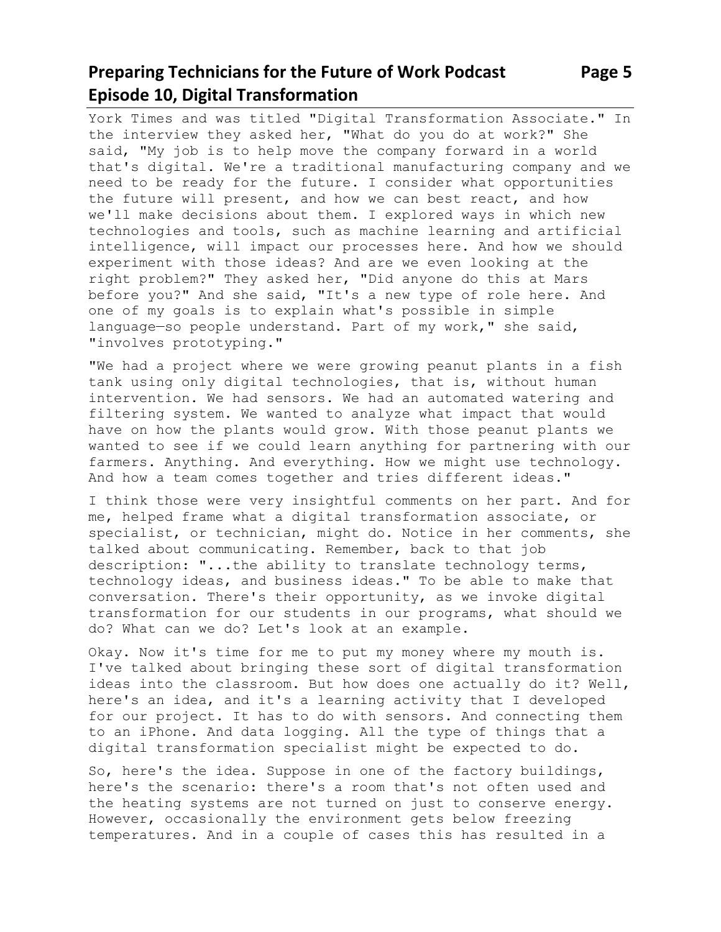## **Preparing Technicians for the Future of Work Podcast Page 5 Episode 10, Digital Transformation**

York Times and was titled "Digital Transformation Associate." In the interview they asked her, "What do you do at work?" She said, "My job is to help move the company forward in a world that's digital. We're a traditional manufacturing company and we need to be ready for the future. I consider what opportunities the future will present, and how we can best react, and how we'll make decisions about them. I explored ways in which new technologies and tools, such as machine learning and artificial intelligence, will impact our processes here. And how we should experiment with those ideas? And are we even looking at the right problem?" They asked her, "Did anyone do this at Mars before you?" And she said, "It's a new type of role here. And one of my goals is to explain what's possible in simple language—so people understand. Part of my work," she said, "involves prototyping."

"We had a project where we were growing peanut plants in a fish tank using only digital technologies, that is, without human intervention. We had sensors. We had an automated watering and filtering system. We wanted to analyze what impact that would have on how the plants would grow. With those peanut plants we wanted to see if we could learn anything for partnering with our farmers. Anything. And everything. How we might use technology. And how a team comes together and tries different ideas."

I think those were very insightful comments on her part. And for me, helped frame what a digital transformation associate, or specialist, or technician, might do. Notice in her comments, she talked about communicating. Remember, back to that job description: "...the ability to translate technology terms, technology ideas, and business ideas." To be able to make that conversation. There's their opportunity, as we invoke digital transformation for our students in our programs, what should we do? What can we do? Let's look at an example.

Okay. Now it's time for me to put my money where my mouth is. I've talked about bringing these sort of digital transformation ideas into the classroom. But how does one actually do it? Well, here's an idea, and it's a learning activity that I developed for our project. It has to do with sensors. And connecting them to an iPhone. And data logging. All the type of things that a digital transformation specialist might be expected to do.

So, here's the idea. Suppose in one of the factory buildings, here's the scenario: there's a room that's not often used and the heating systems are not turned on just to conserve energy. However, occasionally the environment gets below freezing temperatures. And in a couple of cases this has resulted in a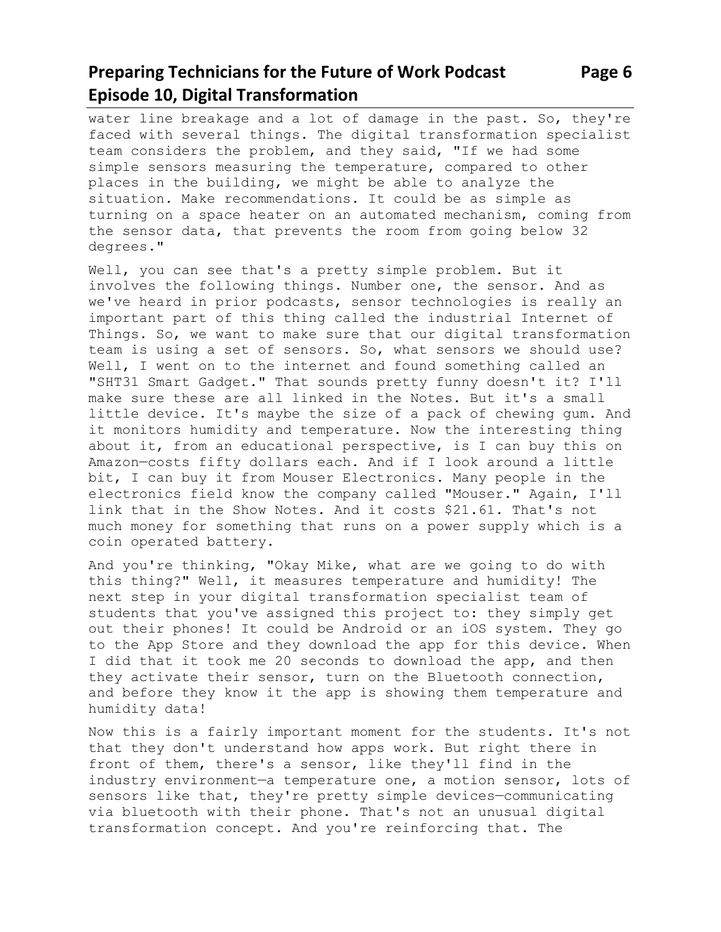## **Preparing Technicians for the Future of Work Podcast Page 6 Episode 10, Digital Transformation**

water line breakage and a lot of damage in the past. So, they're faced with several things. The digital transformation specialist team considers the problem, and they said, "If we had some simple sensors measuring the temperature, compared to other places in the building, we might be able to analyze the situation. Make recommendations. It could be as simple as turning on a space heater on an automated mechanism, coming from the sensor data, that prevents the room from going below 32 degrees."

Well, you can see that's a pretty simple problem. But it involves the following things. Number one, the sensor. And as we've heard in prior podcasts, sensor technologies is really an important part of this thing called the industrial Internet of Things. So, we want to make sure that our digital transformation team is using a set of sensors. So, what sensors we should use? Well, I went on to the internet and found something called an "SHT31 Smart Gadget." That sounds pretty funny doesn't it? I'll make sure these are all linked in the Notes. But it's a small little device. It's maybe the size of a pack of chewing gum. And it monitors humidity and temperature. Now the interesting thing about it, from an educational perspective, is I can buy this on Amazon—costs fifty dollars each. And if I look around a little bit, I can buy it from Mouser Electronics. Many people in the electronics field know the company called "Mouser." Again, I'll link that in the Show Notes. And it costs \$21.61. That's not much money for something that runs on a power supply which is a coin operated battery.

And you're thinking, "Okay Mike, what are we going to do with this thing?" Well, it measures temperature and humidity! The next step in your digital transformation specialist team of students that you've assigned this project to: they simply get out their phones! It could be Android or an iOS system. They go to the App Store and they download the app for this device. When I did that it took me 20 seconds to download the app, and then they activate their sensor, turn on the Bluetooth connection, and before they know it the app is showing them temperature and humidity data!

Now this is a fairly important moment for the students. It's not that they don't understand how apps work. But right there in front of them, there's a sensor, like they'll find in the industry environment—a temperature one, a motion sensor, lots of sensors like that, they're pretty simple devices—communicating via bluetooth with their phone. That's not an unusual digital transformation concept. And you're reinforcing that. The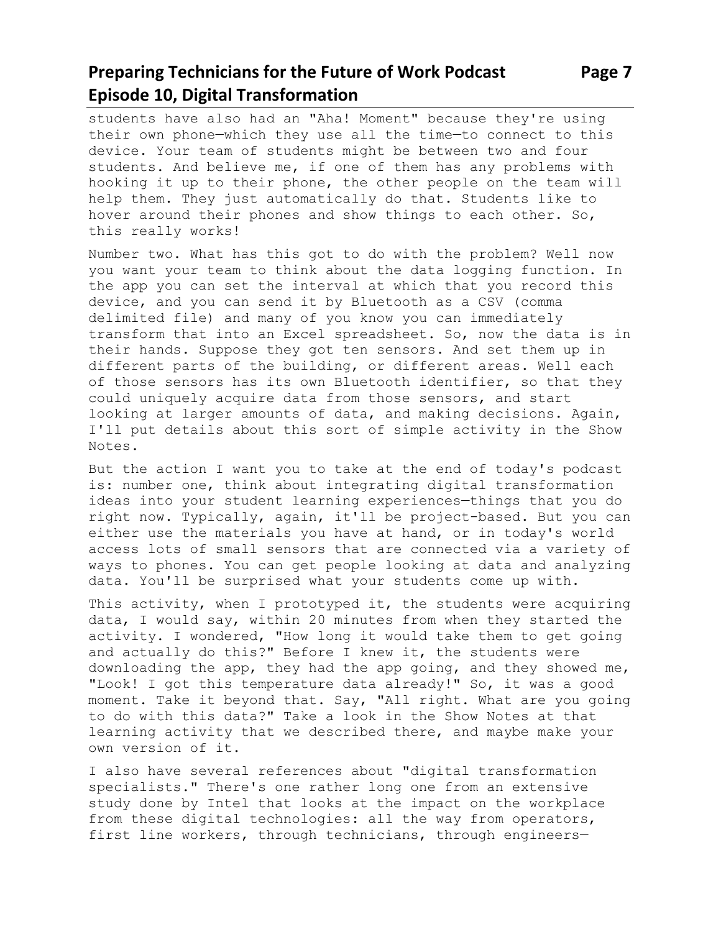# **Preparing Technicians for the Future of Work Podcast Page 7 Episode 10, Digital Transformation**

students have also had an "Aha! Moment" because they're using their own phone—which they use all the time—to connect to this device. Your team of students might be between two and four students. And believe me, if one of them has any problems with hooking it up to their phone, the other people on the team will help them. They just automatically do that. Students like to hover around their phones and show things to each other. So, this really works!

Number two. What has this got to do with the problem? Well now you want your team to think about the data logging function. In the app you can set the interval at which that you record this device, and you can send it by Bluetooth as a CSV (comma delimited file) and many of you know you can immediately transform that into an Excel spreadsheet. So, now the data is in their hands. Suppose they got ten sensors. And set them up in different parts of the building, or different areas. Well each of those sensors has its own Bluetooth identifier, so that they could uniquely acquire data from those sensors, and start looking at larger amounts of data, and making decisions. Again, I'll put details about this sort of simple activity in the Show Notes.

But the action I want you to take at the end of today's podcast is: number one, think about integrating digital transformation ideas into your student learning experiences—things that you do right now. Typically, again, it'll be project-based. But you can either use the materials you have at hand, or in today's world access lots of small sensors that are connected via a variety of ways to phones. You can get people looking at data and analyzing data. You'll be surprised what your students come up with.

This activity, when I prototyped it, the students were acquiring data, I would say, within 20 minutes from when they started the activity. I wondered, "How long it would take them to get going and actually do this?" Before I knew it, the students were downloading the app, they had the app going, and they showed me, "Look! I got this temperature data already!" So, it was a good moment. Take it beyond that. Say, "All right. What are you going to do with this data?" Take a look in the Show Notes at that learning activity that we described there, and maybe make your own version of it.

I also have several references about "digital transformation specialists." There's one rather long one from an extensive study done by Intel that looks at the impact on the workplace from these digital technologies: all the way from operators, first line workers, through technicians, through engineers—